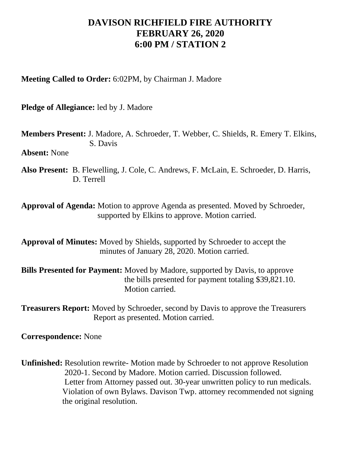## **DAVISON RICHFIELD FIRE AUTHORITY FEBRUARY 26, 2020 6:00 PM / STATION 2**

**Meeting Called to Order:** 6:02PM, by Chairman J. Madore

**Pledge of Allegiance:** led by J. Madore

**Members Present:** J. Madore, A. Schroeder, T. Webber, C. Shields, R. Emery T. Elkins, S. Davis

**Absent:** None

**Also Present:** B. Flewelling, J. Cole, C. Andrews, F. McLain, E. Schroeder, D. Harris, D. Terrell

**Approval of Agenda:** Motion to approve Agenda as presented. Moved by Schroeder, supported by Elkins to approve. Motion carried.

**Approval of Minutes:** Moved by Shields, supported by Schroeder to accept the minutes of January 28, 2020. Motion carried.

**Bills Presented for Payment:** Moved by Madore, supported by Davis, to approve the bills presented for payment totaling \$39,821.10. Motion carried.

**Treasurers Report:** Moved by Schroeder, second by Davis to approve the Treasurers Report as presented. Motion carried.

**Correspondence:** None

**Unfinished:** Resolution rewrite- Motion made by Schroeder to not approve Resolution 2020-1. Second by Madore. Motion carried. Discussion followed. Letter from Attorney passed out. 30-year unwritten policy to run medicals. Violation of own Bylaws. Davison Twp. attorney recommended not signing the original resolution.